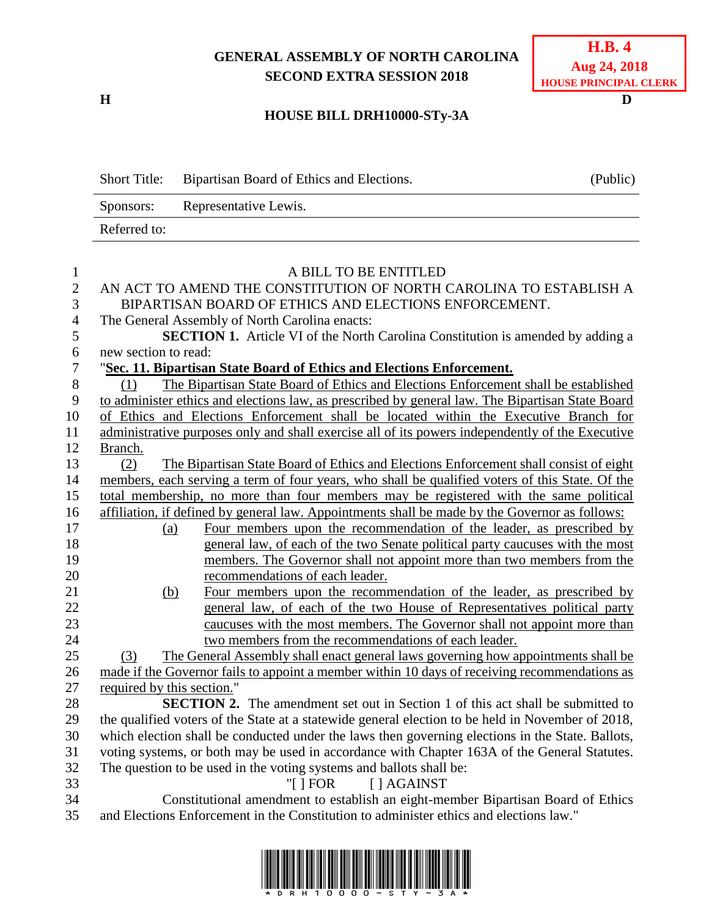## **GENERAL ASSEMBLY OF NORTH CAROLINA SECOND EXTRA SESSION 2018**

**H D**

## **HOUSE BILL DRH10000-STy-3A**

|                     | <b>Short Title:</b>                                                                               | Bipartisan Board of Ethics and Elections.                                                                                  | (Public) |  |
|---------------------|---------------------------------------------------------------------------------------------------|----------------------------------------------------------------------------------------------------------------------------|----------|--|
|                     | Representative Lewis.<br>Sponsors:                                                                |                                                                                                                            |          |  |
|                     | Referred to:                                                                                      |                                                                                                                            |          |  |
|                     |                                                                                                   |                                                                                                                            |          |  |
| 1                   |                                                                                                   | A BILL TO BE ENTITLED                                                                                                      |          |  |
| $\overline{2}$<br>3 |                                                                                                   | AN ACT TO AMEND THE CONSTITUTION OF NORTH CAROLINA TO ESTABLISH A<br>BIPARTISAN BOARD OF ETHICS AND ELECTIONS ENFORCEMENT. |          |  |
| $\overline{4}$      |                                                                                                   | The General Assembly of North Carolina enacts:                                                                             |          |  |
| 5                   |                                                                                                   | SECTION 1. Article VI of the North Carolina Constitution is amended by adding a                                            |          |  |
| 6                   |                                                                                                   | new section to read:                                                                                                       |          |  |
| 7                   | "Sec. 11. Bipartisan State Board of Ethics and Elections Enforcement.                             |                                                                                                                            |          |  |
| 8                   | The Bipartisan State Board of Ethics and Elections Enforcement shall be established<br>(1)        |                                                                                                                            |          |  |
| 9                   | to administer ethics and elections law, as prescribed by general law. The Bipartisan State Board  |                                                                                                                            |          |  |
| 10                  | of Ethics and Elections Enforcement shall be located within the Executive Branch for              |                                                                                                                            |          |  |
| 11                  | administrative purposes only and shall exercise all of its powers independently of the Executive  |                                                                                                                            |          |  |
| 12                  | Branch.                                                                                           |                                                                                                                            |          |  |
| 13                  | (2)                                                                                               | The Bipartisan State Board of Ethics and Elections Enforcement shall consist of eight                                      |          |  |
| 14                  | members, each serving a term of four years, who shall be qualified voters of this State. Of the   |                                                                                                                            |          |  |
| 15                  | total membership, no more than four members may be registered with the same political             |                                                                                                                            |          |  |
| 16                  | affiliation, if defined by general law. Appointments shall be made by the Governor as follows:    |                                                                                                                            |          |  |
| 17                  | (a)                                                                                               | Four members upon the recommendation of the leader, as prescribed by                                                       |          |  |
| 18                  |                                                                                                   | general law, of each of the two Senate political party caucuses with the most                                              |          |  |
| 19                  |                                                                                                   | members. The Governor shall not appoint more than two members from the                                                     |          |  |
| 20                  |                                                                                                   | recommendations of each leader.                                                                                            |          |  |
| 21                  | (b)                                                                                               | Four members upon the recommendation of the leader, as prescribed by                                                       |          |  |
| 22                  |                                                                                                   | general law, of each of the two House of Representatives political party                                                   |          |  |
| 23                  |                                                                                                   | caucuses with the most members. The Governor shall not appoint more than                                                   |          |  |
| 24                  |                                                                                                   | two members from the recommendations of each leader.                                                                       |          |  |
| 25                  | (3)                                                                                               | The General Assembly shall enact general laws governing how appointments shall be                                          |          |  |
| 26                  |                                                                                                   | made if the Governor fails to appoint a member within 10 days of receiving recommendations as                              |          |  |
| 27                  | required by this section.                                                                         |                                                                                                                            |          |  |
| 28                  | <b>SECTION 2.</b> The amendment set out in Section 1 of this act shall be submitted to            |                                                                                                                            |          |  |
| 29                  | the qualified voters of the State at a statewide general election to be held in November of 2018, |                                                                                                                            |          |  |
| 30                  | which election shall be conducted under the laws then governing elections in the State. Ballots,  |                                                                                                                            |          |  |
| 31                  | voting systems, or both may be used in accordance with Chapter 163A of the General Statutes.      |                                                                                                                            |          |  |
| 32                  | The question to be used in the voting systems and ballots shall be:                               |                                                                                                                            |          |  |
| 33                  | "[ $ $ FOR]<br>$\lceil$   AGAINST                                                                 |                                                                                                                            |          |  |
| 34                  | Constitutional amendment to establish an eight-member Bipartisan Board of Ethics                  |                                                                                                                            |          |  |

35 and Elections Enforcement in the Constitution to administer ethics and elections law."